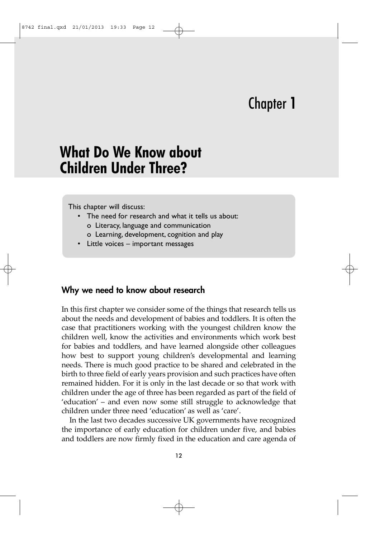# **Chapter 1**

# **What Do We Know about Children Under Three?**

This chapter will discuss:

- The need for research and what it tells us about: o Literacy, language and communication
	- o Learning, development, cognition and play
- Little voices important messages

# Why we need to know about research

In this first chapter we consider some of the things that research tells us about the needs and development of babies and toddlers. It is often the case that practitioners working with the youngest children know the children well, know the activities and environments which work best for babies and toddlers, and have learned alongside other colleagues how best to support young children's developmental and learning needs. There is much good practice to be shared and celebrated in the birth to three field of early years provision and such practices have often remained hidden. For it is only in the last decade or so that work with children under the age of three has been regarded as part of the field of 'education' – and even now some still struggle to acknowledge that children under three need 'education' as well as 'care'.

In the last two decades successive UK governments have recognized the importance of early education for children under five, and babies and toddlers are now firmly fixed in the education and care agenda of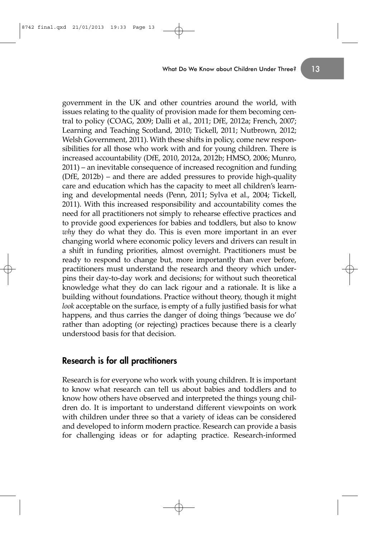What Do We Know about Children Under Three? | 13

government in the UK and other countries around the world, with issues relating to the quality of provision made for them becoming central to policy (COAG, 2009; Dalli et al., 2011; DfE, 2012a; French, 2007; Learning and Teaching Scotland, 2010; Tickell, 2011; Nutbrown, 2012; Welsh Government, 2011). With these shifts in policy, come new responsibilities for all those who work with and for young children. There is increased accountability (DfE, 2010, 2012a, 2012b; HMSO, 2006; Munro, 2011) – an inevitable consequence of increased recognition and funding  $(DfE, 2012b)$  – and there are added pressures to provide high-quality care and education which has the capacity to meet all children's learning and developmental needs (Penn, 2011; Sylva et al., 2004; Tickell, 2011). With this increased responsibility and accountability comes the need for all practitioners not simply to rehearse effective practices and to provide good experiences for babies and toddlers, but also to know *why* they do what they do. This is even more important in an ever changing world where economic policy levers and drivers can result in a shift in funding priorities, almost overnight. Practitioners must be ready to respond to change but, more importantly than ever before, practitioners must understand the research and theory which underpins their day-to-day work and decisions; for without such theoretical knowledge what they do can lack rigour and a rationale. It is like a building without foundations. Practice without theory, though it might *look* acceptable on the surface, is empty of a fully justified basis for what happens, and thus carries the danger of doing things 'because we do' rather than adopting (or rejecting) practices because there is a clearly understood basis for that decision.

# Research is for all practitioners

Research is for everyone who work with young children. It is important to know what research can tell us about babies and toddlers and to know how others have observed and interpreted the things young children do. It is important to understand different viewpoints on work with children under three so that a variety of ideas can be considered and developed to inform modern practice. Research can provide a basis for challenging ideas or for adapting practice. Research-informed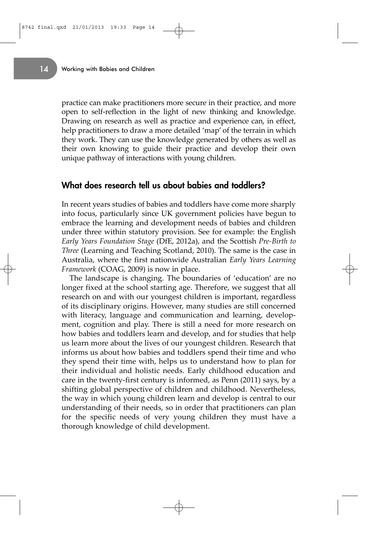practice can make practitioners more secure in their practice, and more open to self-reflection in the light of new thinking and knowledge. Drawing on research as well as practice and experience can, in effect, help practitioners to draw a more detailed 'map' of the terrain in which they work. They can use the knowledge generated by others as well as their own knowing to guide their practice and develop their own unique pathway of interactions with young children.

# What does research tell us about babies and toddlers?

In recent years studies of babies and toddlers have come more sharply into focus, particularly since UK government policies have begun to embrace the learning and development needs of babies and children under three within statutory provision. See for example: the English *Early Years Foundation Stage* (DfE, 2012a), and the Scottish *Pre-Birth to Three* (Learning and Teaching Scotland, 2010). The same is the case in Australia, where the first nationwide Australian *Early Years Learning Framework* (COAG, 2009) is now in place.

The landscape is changing. The boundaries of 'education' are no longer fixed at the school starting age. Therefore, we suggest that all research on and with our youngest children is important, regardless of its disciplinary origins. However, many studies are still concerned with literacy, language and communication and learning, development, cognition and play. There is still a need for more research on how babies and toddlers learn and develop, and for studies that help us learn more about the lives of our youngest children. Research that informs us about how babies and toddlers spend their time and who they spend their time with, helps us to understand how to plan for their individual and holistic needs. Early childhood education and care in the twenty-first century is informed, as Penn (2011) says, by a shifting global perspective of children and childhood. Nevertheless, the way in which young children learn and develop is central to our understanding of their needs, so in order that practitioners can plan for the specific needs of very young children they must have a thorough knowledge of child development.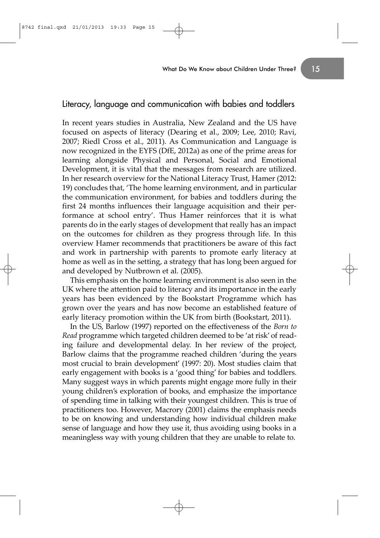What Do We Know about Children Under Three? | 15

## Literacy, language and communication with babies and toddlers

In recent years studies in Australia, New Zealand and the US have focused on aspects of literacy (Dearing et al., 2009; Lee, 2010; Ravi, 2007; Riedl Cross et al., 2011). As Communication and Language is now recognized in the EYFS (DfE, 2012a) as one of the prime areas for learning alongside Physical and Personal, Social and Emotional Development, it is vital that the messages from research are utilized. In her research overview for the National Literacy Trust, Hamer (2012: 19) concludes that, The home learning environment, and in particular the communication environment, for babies and toddlers during the first 24 months influences their language acquisition and their performance at school entry. Thus Hamer reinforces that it is what parents do in the early stages of development that really has an impact on the outcomes for children as they progress through life. In this overview Hamer recommends that practitioners be aware of this fact and work in partnership with parents to promote early literacy at home as well as in the setting, a strategy that has long been argued for and developed by Nutbrown et al. (2005).

This emphasis on the home learning environment is also seen in the UK where the attention paid to literacy and its importance in the early years has been evidenced by the Bookstart Programme which has grown over the years and has now become an established feature of early literacy promotion within the UK from birth (Bookstart, 2011).

In the US, Barlow (1997) reported on the effectiveness of the *Born to Read* programme which targeted children deemed to be 'at risk' of reading failure and developmental delay. In her review of the project, Barlow claims that the programme reached children 'during the years most crucial to brain development' (1997: 20). Most studies claim that early engagement with books is a 'good thing' for babies and toddlers. Many suggest ways in which parents might engage more fully in their young children's exploration of books, and emphasize the importance of spending time in talking with their youngest children. This is true of practitioners too. However, Macrory (2001) claims the emphasis needs to be on knowing and understanding how individual children make sense of language and how they use it, thus avoiding using books in a meaningless way with young children that they are unable to relate to.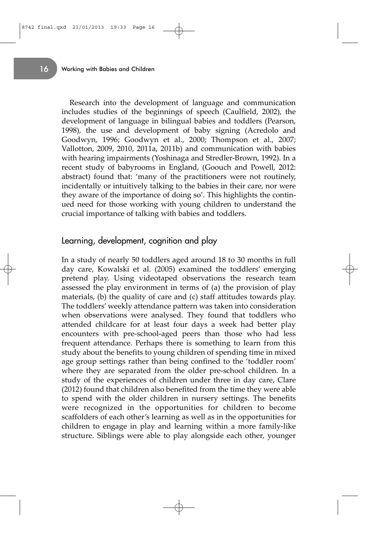Research into the development of language and communication includes studies of the beginnings of speech (Caulfield, 2002), the development of language in bilingual babies and toddlers (Pearson, 1998), the use and development of baby signing (Acredolo and Goodwyn, 1996; Goodwyn et al., 2000; Thompson et al., 2007; Vallotton, 2009, 2010, 2011a, 2011b) and communication with babies with hearing impairments (Yoshinaga and Stredler-Brown, 1992). In a recent study of babyrooms in England, (Goouch and Powell, 2012: abstract) found that: many of the practitioners were not routinely, incidentally or intuitively talking to the babies in their care, nor were they aware of the importance of doing so'. This highlights the continued need for those working with young children to understand the crucial importance of talking with babies and toddlers.

### Learning, development, cognition and play

In a study of nearly 50 toddlers aged around 18 to 30 months in full day care, Kowalski et al. (2005) examined the toddlers' emerging pretend play. Using videotaped observations the research team assessed the play environment in terms of (a) the provision of play materials, (b) the quality of care and (c) staff attitudes towards play. The toddlers' weekly attendance pattern was taken into consideration when observations were analysed. They found that toddlers who attended childcare for at least four days a week had better play encounters with pre-school-aged peers than those who had less frequent attendance. Perhaps there is something to learn from this study about the benefits to young children of spending time in mixed age group settings rather than being confined to the 'toddler room' where they are separated from the older pre-school children. In a study of the experiences of children under three in day care, Clare (2012) found that children also benefited from the time they were able to spend with the older children in nursery settings. The benefits were recognized in the opportunities for children to become scaffolders of each other's learning as well as in the opportunities for children to engage in play and learning within a more family-like structure. Siblings were able to play alongside each other, younger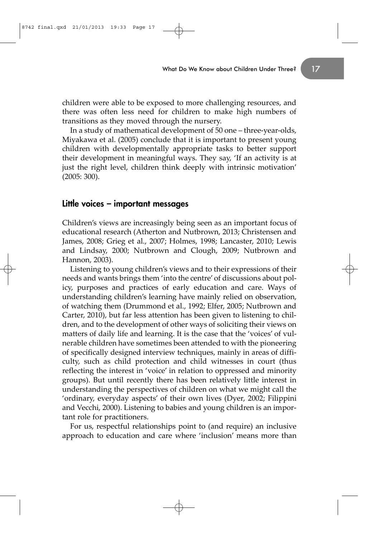children were able to be exposed to more challenging resources, and there was often less need for children to make high numbers of transitions as they moved through the nursery.

In a study of mathematical development of 50 one – three-year-olds, Miyakawa et al. (2005) conclude that it is important to present young children with developmentally appropriate tasks to better support their development in meaningful ways. They say, If an activity is at just the right level, children think deeply with intrinsic motivation (2005: 300).

### Little voices – important messages

Children's views are increasingly being seen as an important focus of educational research (Atherton and Nutbrown, 2013; Christensen and James, 2008; Grieg et al., 2007; Holmes, 1998; Lancaster, 2010; Lewis and Lindsay, 2000; Nutbrown and Clough, 2009; Nutbrown and Hannon, 2003).

Listening to young children's views and to their expressions of their needs and wants brings them 'into the centre' of discussions about policy, purposes and practices of early education and care. Ways of understanding children's learning have mainly relied on observation, of watching them (Drummond et al., 1992; Elfer, 2005; Nutbrown and Carter, 2010), but far less attention has been given to listening to children, and to the development of other ways of soliciting their views on matters of daily life and learning. It is the case that the 'voices' of vulnerable children have sometimes been attended to with the pioneering of specifically designed interview techniques, mainly in areas of difficulty, such as child protection and child witnesses in court (thus reflecting the interest in 'voice' in relation to oppressed and minority groups). But until recently there has been relatively little interest in understanding the perspectives of children on what we might call the 'ordinary, everyday aspects' of their own lives (Dyer, 2002; Filippini and Vecchi, 2000). Listening to babies and young children is an important role for practitioners.

For us, respectful relationships point to (and require) an inclusive approach to education and care where 'inclusion' means more than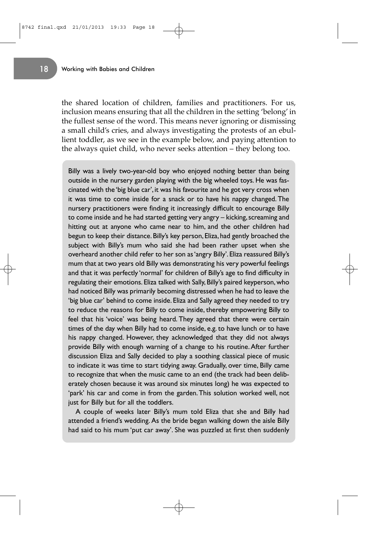18

#### Working with Babies and Children

the shared location of children, families and practitioners. For us, inclusion means ensuring that all the children in the setting 'belong' in the fullest sense of the word. This means never ignoring or dismissing a small child's cries, and always investigating the protests of an ebullient toddler, as we see in the example below, and paying attention to the always quiet child, who never seeks attention – they belong too.

Billy was a lively two-year-old boy who enjoyed nothing better than being outside in the nursery garden playing with the big wheeled toys. He was fascinated with the 'big blue car', it was his favourite and he got very cross when it was time to come inside for a snack or to have his nappy changed. The nursery practitioners were finding it increasingly difficult to encourage Billy to come inside and he had started getting very angry - kicking, screaming and hitting out at anyone who came near to him, and the other children had begun to keep their distance. Billy's key person, Eliza, had gently broached the subject with Billy's mum who said she had been rather upset when she overheard another child refer to her son as 'angry Billy'. Eliza reassured Billy's mum that at two years old Billy was demonstrating his very powerful feelings and that it was perfectly 'normal' for children of Billy's age to find difficulty in regulating their emotions. Eliza talked with Sally, Billy's paired keyperson, who had noticed Billy was primarily becoming distressed when he had to leave the 'big blue car' behind to come inside. Eliza and Sally agreed they needed to try to reduce the reasons for Billy to come inside, thereby empowering Billy to feel that his 'voice' was being heard. They agreed that there were certain times of the day when Billy had to come inside, e.g. to have lunch or to have his nappy changed. However, they acknowledged that they did not always provide Billy with enough warning of a change to his routine. After further discussion Eliza and Sally decided to play a soothing classical piece of music to indicate it was time to start tidying away. Gradually, over time, Billy came to recognize that when the music came to an end (the track had been deliberately chosen because it was around six minutes long) he was expected to 'park' his car and come in from the garden. This solution worked well, not just for Billy but for all the toddlers.

A couple of weeks later Billy's mum told Eliza that she and Billy had attended a friend's wedding. As the bride began walking down the aisle Billy had said to his mum 'put car away'. She was puzzled at first then suddenly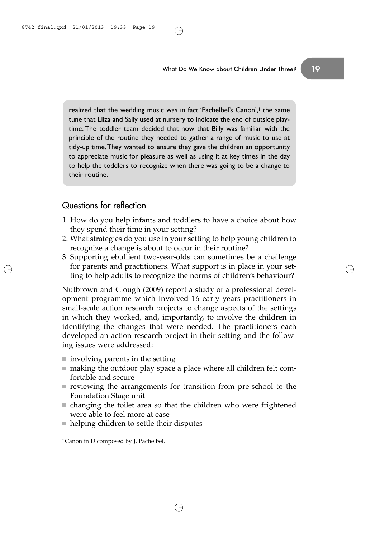What Do We Know about Children Under Three?

realized that the wedding music was in fact 'Pachelbel's Canon', the same tune that Eliza and Sally used at nursery to indicate the end of outside playtime. The toddler team decided that now that Billy was familiar with the principle of the routine they needed to gather a range of music to use at tidy-up time. They wanted to ensure they gave the children an opportunity to appreciate music for pleasure as well as using it at key times in the day to help the toddlers to recognize when there was going to be a change to their routine.

# Questions for reflection

- 1. How do you help infants and toddlers to have a choice about how they spend their time in your setting?
- 2. What strategies do you use in your setting to help young children to recognize a change is about to occur in their routine?
- 3. Supporting ebullient two-year-olds can sometimes be a challenge for parents and practitioners. What support is in place in your setting to help adults to recognize the norms of children's behaviour?

Nutbrown and Clough (2009) report a study of a professional development programme which involved 16 early years practitioners in small-scale action research projects to change aspects of the settings in which they worked, and, importantly, to involve the children in identifying the changes that were needed. The practitioners each developed an action research project in their setting and the following issues were addressed:

- $\blacksquare$  involving parents in the setting
- $\blacksquare$  making the outdoor play space a place where all children felt comfortable and secure
- $\blacksquare$  reviewing the arrangements for transition from pre-school to the Foundation Stage unit
- $\blacksquare$  changing the toilet area so that the children who were frightened were able to feel more at ease
- $\blacksquare$  helping children to settle their disputes

<sup>1</sup> Canon in D composed by J. Pachelbel.

# 19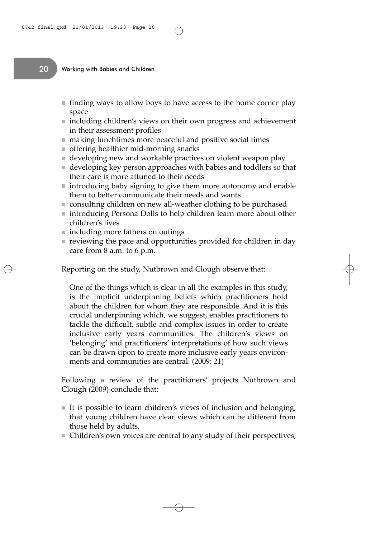- finding ways to allow boys to have access to the home corner play space
- $\blacksquare$  including children's views on their own progress and achievement in their assessment profiles
- making lunchtimes more peaceful and positive social times
- offering healthier mid-morning snacks
- developing new and workable practices on violent weapon play
- developing key person approaches with babies and toddlers so that their care is more attuned to their needs
- introducing baby signing to give them more autonomy and enable them to better communicate their needs and wants
- consulting children on new all-weather clothing to be purchased
- introducing Persona Dolls to help children learn more about other children's lives
- $\blacksquare$  including more fathers on outings
- $\blacksquare$  reviewing the pace and opportunities provided for children in day care from 8 a.m. to 6 p.m.

Reporting on the study, Nutbrown and Clough observe that:

One of the things which is clear in all the examples in this study, is the implicit underpinning beliefs which practitioners hold about the children for whom they are responsible. And it is this crucial underpinning which, we suggest, enables practitioners to tackle the difficult, subtle and complex issues in order to create inclusive early years communities. The children's views on 'belonging' and practitioners' interpretations of how such views can be drawn upon to create more inclusive early years environments and communities are central. (2009: 21)

Following a review of the practitioners' projects Nutbrown and Clough (2009) conclude that:

- $\blacksquare$  It is possible to learn children's views of inclusion and belonging, that young children have clear views which can be different from those held by adults.
- $\blacksquare$  Children's own voices are central to any study of their perspectives,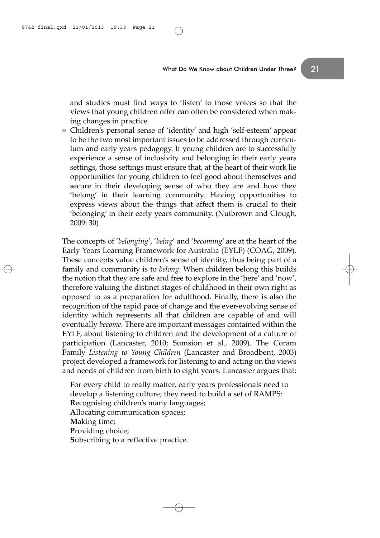What Do We Know about Children Under Three?

and studies must find ways to 'listen' to those voices so that the views that young children offer can often be considered when making changes in practice.

■ Children's personal sense of 'identity' and high 'self-esteem' appear to be the two most important issues to be addressed through curriculum and early years pedagogy. If young children are to successfully experience a sense of inclusivity and belonging in their early years settings, those settings must ensure that, at the heart of their work lie opportunities for young children to feel good about themselves and secure in their developing sense of who they are and how they 'belong' in their learning community. Having opportunities to express views about the things that affect them is crucial to their 'belonging' in their early years community. (Nutbrown and Clough,  $2009:30$ 

The concepts of 'belonging', 'being' and 'becoming' are at the heart of the Early Years Learning Framework for Australia (EYLF) (COAG, 2009). These concepts value children's sense of identity, thus being part of a tamily and community is to belong. When children belong this builds the notion that they are safe and free to explore in the 'here' and 'now', therefore valuing the distinct stages of childhood in their own right as opposed to as a preparation for adulthood. Finally, there is also the recognition of the rapid pace of change and the ever-evolving sense of identity which represents all that children are capable of and will eventually *become*. There are important messages contained within the EYLF, about listening to children and the development of a culture of participation (Lancaster, 2010; Sumsion et al., 2009). The Coram Family Listening to Young Children (Lancaster and Broadbent, 2003) project developed a framework for listening to and acting on the views and needs of children from birth to eight years. Lancaster argues that:

For every child to really matter, early years professionals need to develop a listening culture; they need to build a set of RAMPS: Recognising children's many languages; Allocating communication spaces; Making time; **Providing choice;** 

Subscribing to a reflective practice.

# 21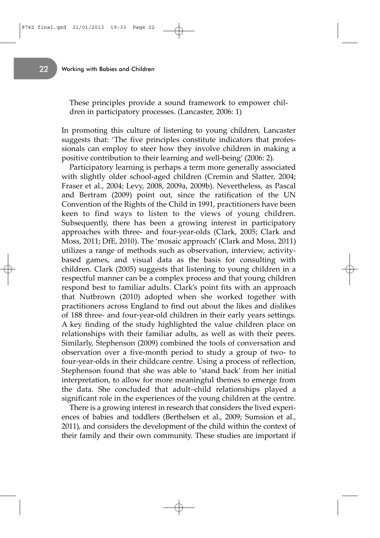These principles provide a sound framework to empower children in participatory processes. (Lancaster, 2006: 1)

In promoting this culture of listening to young children, Lancaster suggests that: The five principles constitute indicators that professionals can employ to steer how they involve children in making a positive contribution to their learning and well-being' (2006: 2).

Participatory learning is perhaps a term more generally associated with slightly older school-aged children (Cremin and Slatter, 2004; Fraser et al., 2004; Levy, 2008, 2009a, 2009b). Nevertheless, as Pascal and Bertram (2009) point out, since the ratification of the UN Convention of the Rights of the Child in 1991, practitioners have been keen to find ways to listen to the views of young children. Subsequently, there has been a growing interest in participatory approaches with three- and four-year-olds (Clark, 2005; Clark and Moss, 2011; DfE, 2010). The 'mosaic approach' (Clark and Moss, 2011) utilizes a range of methods such as observation, interview, activitybased games, and visual data as the basis for consulting with children. Clark (2005) suggests that listening to young children in a respectful manner can be a complex process and that young children respond best to familiar adults. Clark's point fits with an approach that Nutbrown (2010) adopted when she worked together with practitioners across England to find out about the likes and dislikes of 188 three- and four-year-old children in their early years settings. A key finding of the study highlighted the value children place on relationships with their familiar adults, as well as with their peers. Similarly, Stephenson (2009) combined the tools of conversation and observation over a five-month period to study a group of two- to four-year-olds in their childcare centre. Using a process of reflection, Stephenson found that she was able to 'stand back' from her initial interpretation, to allow for more meaningful themes to emerge from the data. She concluded that adult-child relationships played a significant role in the experiences of the young children at the centre.

There is a growing interest in research that considers the lived experiences of babies and toddlers (Berthelsen et al., 2009; Sumsion et al., 2011), and considers the development of the child within the context of their family and their own community. These studies are important if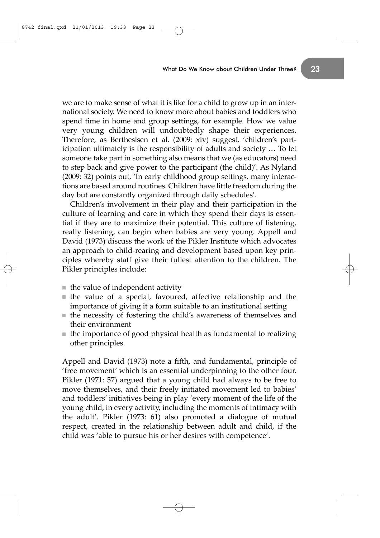we are to make sense of what it is like for a child to grow up in an international society. We need to know more about babies and toddlers who spend time in home and group settings, for example. How we value very young children will undoubtedly shape their experiences. Therefore, as Bertheslsen et al. (2009: xiv) suggest, 'children's participation ultimately is the responsibility of adults and society  $\ldots$  To let someone take part in something also means that we (as educators) need to step back and give power to the participant (the child). As Nyland (2009: 32) points out, In early childhood group settings, many interactions are based around routines. Children have little freedom during the day but are constantly organized through daily schedules'.

Children's involvement in their play and their participation in the culture of learning and care in which they spend their days is essential if they are to maximize their potential. This culture of listening, really listening, can begin when babies are very young. Appell and David (1973) discuss the work of the Pikler Institute which advocates an approach to child-rearing and development based upon key principles whereby staff give their fullest attention to the children. The Pikler principles include:

- $\blacksquare$  the value of independent activity
- the value of a special, favoured, affective relationship and the importance of giving it a form suitable to an institutional setting
- $\blacksquare$  the necessity of fostering the child's awareness of themselves and their environment
- the importance of good physical health as fundamental to realizing other principles.

Appell and David (1973) note a fifth, and fundamental, principle of 'free movement' which is an essential underpinning to the other four. Pikler (1971: 57) argued that a young child had always to be free to move themselves, and their freely initiated movement led to babies and toddlers' initiatives being in play 'every moment of the life of the young child, in every activity, including the moments of intimacy with the adult. Pikler (1973: 61) also promoted a dialogue of mutual respect, created in the relationship between adult and child, if the child was 'able to pursue his or her desires with competence'.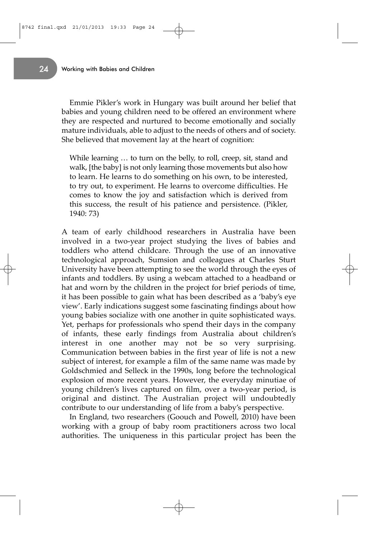Emmie Pikler's work in Hungary was built around her belief that babies and young children need to be offered an environment where they are respected and nurtured to become emotionally and socially mature individuals, able to adjust to the needs of others and of society. She believed that movement lay at the heart of cognition:

While learning  $\ldots$  to turn on the belly, to roll, creep, sit, stand and walk, [the baby] is not only learning those movements but also how to learn. He learns to do something on his own, to be interested, to try out, to experiment. He learns to overcome difficulties. He comes to know the joy and satisfaction which is derived from this success, the result of his patience and persistence. (Pikler, 1940: 73)

A team of early childhood researchers in Australia have been involved in a two-year project studying the lives of babies and toddlers who attend childcare. Through the use of an innovative technological approach, Sumsion and colleagues at Charles Sturt University have been attempting to see the world through the eyes of infants and toddlers. By using a webcam attached to a headband or hat and worn by the children in the project for brief periods of time, it has been possible to gain what has been described as a 'baby's eye view. Early indications suggest some fascinating findings about how young babies socialize with one another in quite sophisticated ways. Yet, perhaps for professionals who spend their days in the company of infants, these early findings from Australia about children's interest in one another may not be so very surprising. Communication between babies in the first year of life is not a new subject of interest, for example a film of the same name was made by Goldschmied and Selleck in the 1990s, long before the technological explosion of more recent years. However, the everyday minutiae of young children's lives captured on film, over a two-year period, is original and distinct. The Australian project will undoubtedly contribute to our understanding of life from a baby's perspective.

In England, two researchers (Goouch and Powell, 2010) have been working with a group of baby room practitioners across two local authorities. The uniqueness in this particular project has been the